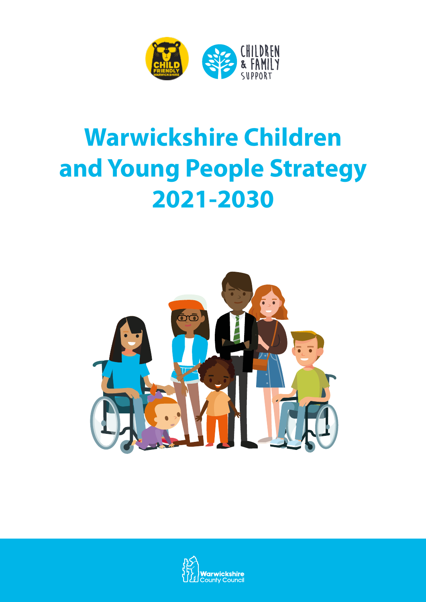

# **Warwickshire Children and Young People Strategy 2021-2030**



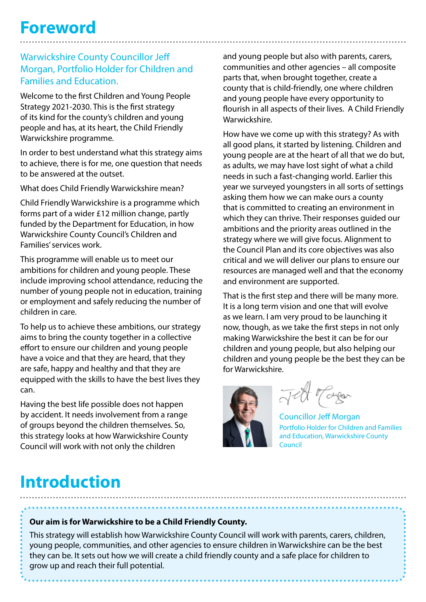#### Warwickshire County Councillor Jeff Morgan, Portfolio Holder for Children and Families and Education.

Welcome to the first Children and Young People Strategy 2021-2030. This is the first strategy of its kind for the county's children and young people and has, at its heart, the Child Friendly Warwickshire programme.

In order to best understand what this strategy aims to achieve, there is for me, one question that needs to be answered at the outset.

What does Child Friendly Warwickshire mean?

Child Friendly Warwickshire is a programme which forms part of a wider £12 million change, partly funded by the Department for Education, in how Warwickshire County Council's Children and Families' services work.

This programme will enable us to meet our ambitions for children and young people. These include improving school attendance, reducing the number of young people not in education, training or employment and safely reducing the number of children in care.

To help us to achieve these ambitions, our strategy aims to bring the county together in a collective effort to ensure our children and young people have a voice and that they are heard, that they are safe, happy and healthy and that they are equipped with the skills to have the best lives they can.

Having the best life possible does not happen by accident. It needs involvement from a range of groups beyond the children themselves. So, this strategy looks at how Warwickshire County Council will work with not only the children

and young people but also with parents, carers, communities and other agencies – all composite parts that, when brought together, create a county that is child-friendly, one where children and young people have every opportunity to flourish in all aspects of their lives. A Child Friendly Warwickshire.

How have we come up with this strategy? As with all good plans, it started by listening. Children and young people are at the heart of all that we do but, as adults, we may have lost sight of what a child needs in such a fast-changing world. Earlier this year we surveyed youngsters in all sorts of settings asking them how we can make ours a county that is committed to creating an environment in which they can thrive. Their responses guided our ambitions and the priority areas outlined in the strategy where we will give focus. Alignment to the Council Plan and its core objectives was also critical and we will deliver our plans to ensure our resources are managed well and that the economy and environment are supported.

That is the first step and there will be many more. It is a long term vision and one that will evolve as we learn. I am very proud to be launching it now, though, as we take the first steps in not only making Warwickshire the best it can be for our children and young people, but also helping our children and young people be the best they can be for Warwickshire.



Jett Tager

Councillor Jeff Morgan Portfolio Holder for Children and Families and Education, Warwickshire County Council

### **Introduction**

#### **Our aim is for Warwickshire to be a Child Friendly County.**

This strategy will establish how Warwickshire County Council will work with parents, carers, children, young people, communities, and other agencies to ensure children in Warwickshire can be the best they can be. It sets out how we will create a child friendly county and a safe place for children to grow up and reach their full potential.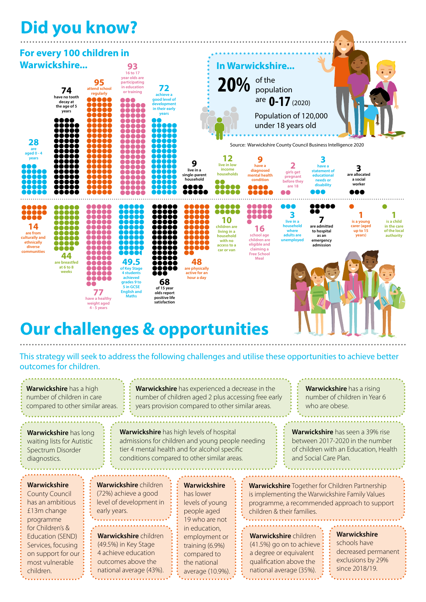

### **Our challenges & opportunities**

This strategy will seek to address the following challenges and utilise these opportunities to achieve better outcomes for children.

| Warwickshire has a high<br>number of children in care<br>compared to other similar areas.                                                                                                                        |                                                                                                 |  | Warwickshire has experienced a decrease in the<br>number of children aged 2 plus accessing free early<br>years provision compared to other similar areas. |                                                                                                                                                                                                     |                                                                                                                                                                                       |  |                                                                                                                                       |                                                                                                                                                                                     | <b>Warwickshire</b> has a rising<br>number of children in Year 6<br>who are obese. |
|------------------------------------------------------------------------------------------------------------------------------------------------------------------------------------------------------------------|-------------------------------------------------------------------------------------------------|--|-----------------------------------------------------------------------------------------------------------------------------------------------------------|-----------------------------------------------------------------------------------------------------------------------------------------------------------------------------------------------------|---------------------------------------------------------------------------------------------------------------------------------------------------------------------------------------|--|---------------------------------------------------------------------------------------------------------------------------------------|-------------------------------------------------------------------------------------------------------------------------------------------------------------------------------------|------------------------------------------------------------------------------------|
| Warwickshire has long<br>waiting lists for Autistic<br>Spectrum Disorder<br>diagnostics.                                                                                                                         |                                                                                                 |  |                                                                                                                                                           | <b>Warwickshire</b> has high levels of hospital<br>admissions for children and young people needing<br>tier 4 mental health and for alcohol specific<br>conditions compared to other similar areas. |                                                                                                                                                                                       |  | Warwickshire has seen a 39% rise<br>between 2017-2020 in the number<br>of children with an Education, Health<br>and Social Care Plan. |                                                                                                                                                                                     |                                                                                    |
| <b>Warwickshire</b><br><b>County Council</b><br>has an ambitious<br>£13m change<br>programme<br>for Children's &<br>Education (SEND)<br>Services, focusing<br>on support for our<br>most vulnerable<br>children. | <b>Warwickshire</b> children<br>(72%) achieve a good<br>level of development in<br>early years. |  |                                                                                                                                                           | <b>Warwickshire</b><br>has lower<br>levels of young<br>people aged<br>19 who are not                                                                                                                | <b>Warwickshire</b> Together for Children Partnership<br>is implementing the Warwickshire Family Values<br>programme, a recommended approach to support<br>children & their families. |  |                                                                                                                                       |                                                                                                                                                                                     |                                                                                    |
|                                                                                                                                                                                                                  |                                                                                                 |  | Warwickshire children<br>(49.5%) in Key Stage<br>4 achieve education<br>outcomes above the<br>national average (43%).                                     |                                                                                                                                                                                                     | in education,<br>employment or<br>training (6.9%)<br>compared to<br>the national<br>average (10.9%).                                                                                  |  |                                                                                                                                       | Warwickshire<br>Warwickshire children<br>schools have<br>(41.5%) go on to achieve<br>a degree or equivalent<br>qualification above the<br>since 2018/19.<br>national average (35%). |                                                                                    |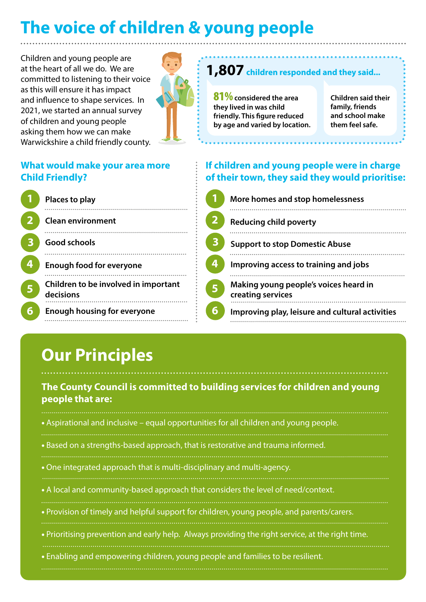# **The voice of children & young people**

Children and young people are at the heart of all we do. We are committed to listening to their voice as this will ensure it has impact and influence to shape services. In 2021, we started an annual survey of children and young people asking them how we can make Warwickshire a child friendly county.



#### **1,807** children responded and they said...

81%**considered the area they lived in was child friendly. This figure reduced by age and varied by location.**

**Children said their family, friends and school make them feel safe.**

#### **If children and young people were in charge of their town, they said they would prioritise:**

| More homes and stop homelessness                           |
|------------------------------------------------------------|
| <b>Reducing child poverty</b>                              |
| <b>Support to stop Domestic Abuse</b>                      |
| Improving access to training and jobs                      |
| Making young people's voices heard in<br>creating services |
| Improving play, leisure and cultural activities            |

#### **What would make your area more Child Friendly?**

|   | Places to play                                    |
|---|---------------------------------------------------|
|   | <b>Clean environment</b>                          |
| 3 | Good schools                                      |
|   | <b>Enough food for everyone</b>                   |
|   | Children to be involved in important<br>decisions |
| б | <b>Enough housing for everyone</b>                |

# **Our Principles**

#### **The County Council is committed to building services for children and young people that are:**

• Aspirational and inclusive – equal opportunities for all children and young people. • Based on a strengths-based approach, that is restorative and trauma informed. • One integrated approach that is multi-disciplinary and multi-agency. • A local and community-based approach that considers the level of need/context. • Provision of timely and helpful support for children, young people, and parents/carers. • Prioritising prevention and early help. Always providing the right service, at the right time. • Enabling and empowering children, young people and families to be resilient.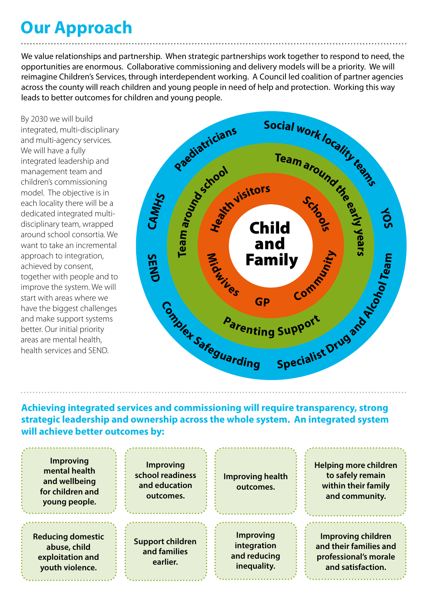### **Our Approach**

We value relationships and partnership. When strategic partnerships work together to respond to need, the opportunities are enormous. Collaborative commissioning and delivery models will be a priority. We will reimagine Children's Services, through interdependent working. A Council led coalition of partner agencies across the county will reach children and young people in need of help and protection. Working this way leads to better outcomes for children and young people.

By 2030 we will build integrated, multi-disciplinary and multi-agency services. We will have a fully integrated leadership and management team and children's commissioning model. The objective is in each locality there will be a dedicated integrated multidisciplinary team, wrapped around school consortia. We want to take an incremental approach to integration, achieved by consent, together with people and to improve the system. We will start with areas where we have the biggest challenges and make support systems better. Our initial priority areas are mental health, health services and SEND.



**Achieving integrated services and commissioning will require transparency, strong strategic leadership and ownership across the whole system. An integrated system will achieve better outcomes by:**

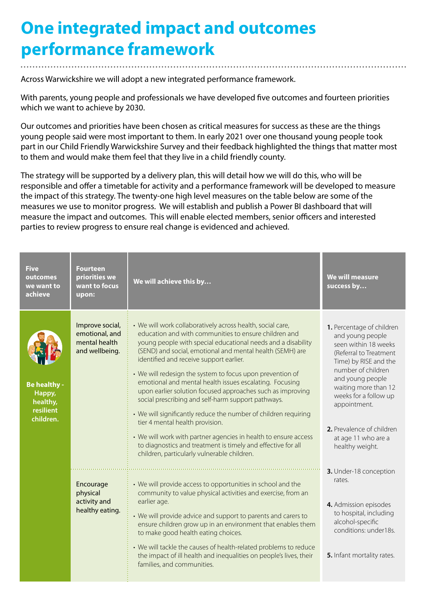### **One integrated impact and outcomes performance framework**

Across Warwickshire we will adopt a new integrated performance framework.

With parents, young people and professionals we have developed five outcomes and fourteen priorities which we want to achieve by 2030.

Our outcomes and priorities have been chosen as critical measures for success as these are the things young people said were most important to them. In early 2021 over one thousand young people took part in our Child Friendly Warwickshire Survey and their feedback highlighted the things that matter most to them and would make them feel that they live in a child friendly county.

The strategy will be supported by a delivery plan, this will detail how we will do this, who will be responsible and offer a timetable for activity and a performance framework will be developed to measure the impact of this strategy. The twenty-one high level measures on the table below are some of the measures we use to monitor progress. We will establish and publish a Power BI dashboard that will measure the impact and outcomes. This will enable elected members, senior officers and interested parties to review progress to ensure real change is evidenced and achieved.

| Five<br><b>outcomes</b><br>we want to<br>achieve                    | Fourteen<br>priorities we<br>want to focus<br>upon:                  | We will achieve this by                                                                                                                                                                                                                                                                                                                                                                                                                                                                                                                                                                                                                                                                                                                                                                                                         | We will measure<br>success by                                                                                                                                                                                                                                                                              |
|---------------------------------------------------------------------|----------------------------------------------------------------------|---------------------------------------------------------------------------------------------------------------------------------------------------------------------------------------------------------------------------------------------------------------------------------------------------------------------------------------------------------------------------------------------------------------------------------------------------------------------------------------------------------------------------------------------------------------------------------------------------------------------------------------------------------------------------------------------------------------------------------------------------------------------------------------------------------------------------------|------------------------------------------------------------------------------------------------------------------------------------------------------------------------------------------------------------------------------------------------------------------------------------------------------------|
| <b>Be healthy -</b><br>Happy,<br>healthy,<br>resilient<br>children. | Improve social,<br>emotional, and<br>mental health<br>and wellbeing. | • We will work collaboratively across health, social care,<br>education and with communities to ensure children and<br>young people with special educational needs and a disability<br>(SEND) and social, emotional and mental health (SEMH) are<br>identified and receive support earlier.<br>• We will redesign the system to focus upon prevention of<br>emotional and mental health issues escalating. Focusing<br>upon earlier solution focused approaches such as improving<br>social prescribing and self-harm support pathways.<br>• We will significantly reduce the number of children requiring<br>tier 4 mental health provision.<br>• We will work with partner agencies in health to ensure access<br>to diagnostics and treatment is timely and effective for all<br>children, particularly vulnerable children. | 1. Percentage of children<br>and young people<br>seen within 18 weeks<br>(Referral to Treatment<br>Time) by RISE and the<br>number of children<br>and young people<br>waiting more than 12<br>weeks for a follow up<br>appointment.<br>2. Prevalence of children<br>at age 11 who are a<br>healthy weight. |
|                                                                     | Encourage<br>physical<br>activity and<br>healthy eating.             | • We will provide access to opportunities in school and the<br>community to value physical activities and exercise, from an<br>earlier age.<br>• We will provide advice and support to parents and carers to<br>ensure children grow up in an environment that enables them<br>to make good health eating choices.<br>• We will tackle the causes of health-related problems to reduce<br>the impact of ill health and inequalities on people's lives, their<br>families, and communities.                                                                                                                                                                                                                                                                                                                                      | 3. Under-18 conception<br>rates.<br>4. Admission episodes<br>to hospital, including<br>alcohol-specific<br>conditions: under18s.<br>5. Infant mortality rates.                                                                                                                                             |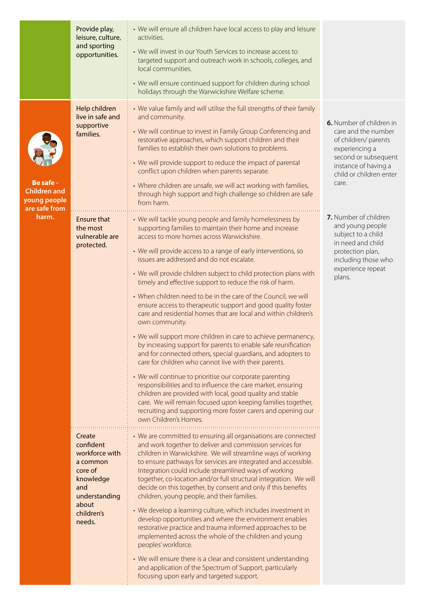|                                                                   | Provide play,<br>leisure, culture,<br>and sporting<br>opportunities.                                                               | • We will ensure all children have local access to play and leisure<br>activities.<br>• We will invest in our Youth Services to increase access to<br>targeted support and outreach work in schools, colleges, and<br>local communities.<br>• We will ensure continued support for children during school<br>holidays through the Warwickshire Welfare scheme.                                                                                                                                                                                                                                                                                                                                                                                                                                                                                                                                                                                                                                                                                                                                                                                                                                                                                        |                                                                                                                                                                               |
|-------------------------------------------------------------------|------------------------------------------------------------------------------------------------------------------------------------|-------------------------------------------------------------------------------------------------------------------------------------------------------------------------------------------------------------------------------------------------------------------------------------------------------------------------------------------------------------------------------------------------------------------------------------------------------------------------------------------------------------------------------------------------------------------------------------------------------------------------------------------------------------------------------------------------------------------------------------------------------------------------------------------------------------------------------------------------------------------------------------------------------------------------------------------------------------------------------------------------------------------------------------------------------------------------------------------------------------------------------------------------------------------------------------------------------------------------------------------------------|-------------------------------------------------------------------------------------------------------------------------------------------------------------------------------|
| Be safe -<br><b>Children and</b><br>young people<br>are safe from | Help children<br>live in safe and<br>supportive<br>families.                                                                       | • We value family and will utilise the full strengths of their family<br>and community.<br>• We will continue to invest in Family Group Conferencing and<br>restorative approaches, which support children and their<br>families to establish their own solutions to problems.<br>• We will provide support to reduce the impact of parental<br>conflict upon children when parents separate.<br>• Where children are unsafe, we will act working with families,<br>through high support and high challenge so children are safe<br>from harm.                                                                                                                                                                                                                                                                                                                                                                                                                                                                                                                                                                                                                                                                                                        | 6. Number of children in<br>care and the number<br>of children/ parents<br>experiencing a<br>second or subsequent<br>instance of having a<br>child or children enter<br>care. |
| harm.                                                             | <b>Ensure that</b><br>the most<br>vulnerable are<br>protected.                                                                     | • We will tackle young people and family homelessness by<br>supporting families to maintain their home and increase<br>access to more homes across Warwickshire.<br>• We will provide access to a range of early interventions, so<br>issues are addressed and do not escalate.<br>• We will provide children subject to child protection plans with<br>timely and effective support to reduce the risk of harm.<br>• When children need to be in the care of the Council, we will<br>ensure access to therapeutic support and good quality foster<br>care and residential homes that are local and within children's<br>own community.<br>• We will support more children in care to achieve permanency,<br>by increasing support for parents to enable safe reunification<br>and for connected others, special guardians, and adopters to<br>care for children who cannot live with their parents.<br>• We will continue to prioritise our corporate parenting<br>responsibilities and to influence the care market, ensuring<br>children are provided with local, good quality and stable<br>care. We will remain focused upon keeping families together,<br>recruiting and supporting more foster carers and opening our<br>own Children's Homes. | 7. Number of children<br>and young people<br>subject to a child<br>in need and child<br>protection plan,<br>including those who<br>experience repeat<br>plans.                |
|                                                                   | Create<br>confident<br>workforce with<br>a common<br>core of<br>knowledge<br>and<br>understanding<br>about<br>children's<br>needs. | • We are committed to ensuring all organisations are connected<br>and work together to deliver and commission services for<br>children in Warwickshire. We will streamline ways of working<br>to ensure pathways for services are integrated and accessible.<br>Integration could include streamlined ways of working<br>together, co-location and/or full structural integration. We will<br>decide on this together, by consent and only if this benefits<br>children, young people, and their families.<br>• We develop a learning culture, which includes investment in<br>develop opportunities and where the environment enables<br>restorative practice and trauma informed approaches to be<br>implemented across the whole of the children and young<br>peoples' workforce.<br>• We will ensure there is a clear and consistent understanding<br>and application of the Spectrum of Support, particularly<br>focusing upon early and targeted support.                                                                                                                                                                                                                                                                                       |                                                                                                                                                                               |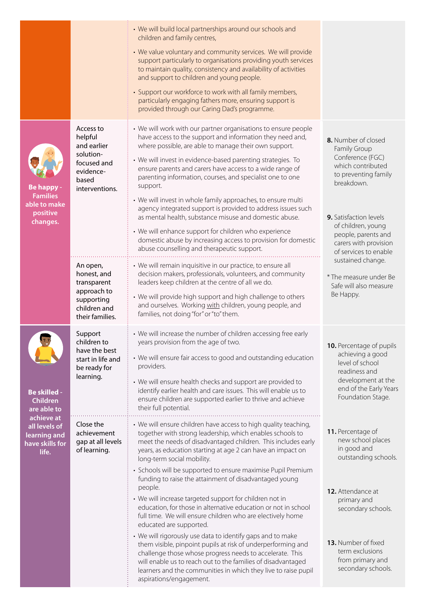|                                                                         |                                                                                                         | • We will build local partnerships around our schools and<br>children and family centres,<br>• We value voluntary and community services. We will provide<br>support particularly to organisations providing youth services<br>to maintain quality, consistency and availability of activities<br>and support to children and young people.<br>• Support our workforce to work with all family members,<br>particularly engaging fathers more, ensuring support is<br>provided through our Caring Dad's programme.                                                                                                                                                                                                                                         |                                                                                                                                                                                                                                                    |
|-------------------------------------------------------------------------|---------------------------------------------------------------------------------------------------------|------------------------------------------------------------------------------------------------------------------------------------------------------------------------------------------------------------------------------------------------------------------------------------------------------------------------------------------------------------------------------------------------------------------------------------------------------------------------------------------------------------------------------------------------------------------------------------------------------------------------------------------------------------------------------------------------------------------------------------------------------------|----------------------------------------------------------------------------------------------------------------------------------------------------------------------------------------------------------------------------------------------------|
| Be happy -<br><b>Families</b><br>able to make<br>positive<br>changes.   | Access to<br>helpful<br>and earlier<br>solution-<br>focused and<br>evidence-<br>based<br>interventions. | • We will work with our partner organisations to ensure people<br>have access to the support and information they need and,<br>where possible, are able to manage their own support.<br>• We will invest in evidence-based parenting strategies. To<br>ensure parents and carers have access to a wide range of<br>parenting information, courses, and specialist one to one<br>support.<br>• We will invest in whole family approaches, to ensure multi<br>agency integrated support is provided to address issues such<br>as mental health, substance misuse and domestic abuse.<br>• We will enhance support for children who experience<br>domestic abuse by increasing access to provision for domestic<br>abuse counselling and therapeutic support. | 8. Number of closed<br>Family Group<br>Conference (FGC)<br>which contributed<br>to preventing family<br>breakdown.<br><b>9.</b> Satisfaction levels<br>of children, young<br>people, parents and<br>carers with provision<br>of services to enable |
|                                                                         | An open,<br>honest, and<br>transparent<br>approach to<br>supporting<br>children and<br>their families.  | • We will remain inquisitive in our practice, to ensure all<br>decision makers, professionals, volunteers, and community<br>leaders keep children at the centre of all we do.<br>• We will provide high support and high challenge to others<br>and ourselves. Working with children, young people, and<br>families, not doing "for" or "to" them.                                                                                                                                                                                                                                                                                                                                                                                                         | sustained change.<br>* The measure under Be<br>Safe will also measure<br>Be Happy.                                                                                                                                                                 |
| <b>Be skilled -</b><br>Children<br>are able to                          | Support<br>children to<br>have the best<br>start in life and<br>be ready for<br>learning.               | • We will increase the number of children accessing free early<br>years provision from the age of two.<br>• We will ensure fair access to good and outstanding education<br>providers.<br>• We will ensure health checks and support are provided to<br>identify earlier health and care issues. This will enable us to<br>ensure children are supported earlier to thrive and achieve<br>their full potential.                                                                                                                                                                                                                                                                                                                                            | 10. Percentage of pupils<br>achieving a good<br>level of school<br>readiness and<br>development at the<br>end of the Early Years<br>Foundation Stage.                                                                                              |
| achieve at<br>all levels of<br>learning and<br>have skills for<br>life. | Close the<br>achievement<br>gap at all levels<br>of learning.                                           | • We will ensure children have access to high quality teaching,<br>together with strong leadership, which enables schools to<br>meet the needs of disadvantaged children. This includes early<br>years, as education starting at age 2 can have an impact on<br>long-term social mobility.<br>• Schools will be supported to ensure maximise Pupil Premium<br>funding to raise the attainment of disadvantaged young<br>people.<br>• We will increase targeted support for children not in<br>education, for those in alternative education or not in school<br>full time. We will ensure children who are electively home<br>educated are supported.                                                                                                      | 11. Percentage of<br>new school places<br>in good and<br>outstanding schools.<br>12. Attendance at<br>primary and<br>secondary schools.                                                                                                            |
|                                                                         |                                                                                                         | • We will rigorously use data to identify gaps and to make<br>them visible, pinpoint pupils at risk of underperforming and<br>challenge those whose progress needs to accelerate. This<br>will enable us to reach out to the families of disadvantaged<br>learners and the communities in which they live to raise pupil<br>aspirations/engagement.                                                                                                                                                                                                                                                                                                                                                                                                        | 13. Number of fixed<br>term exclusions<br>from primary and<br>secondary schools.                                                                                                                                                                   |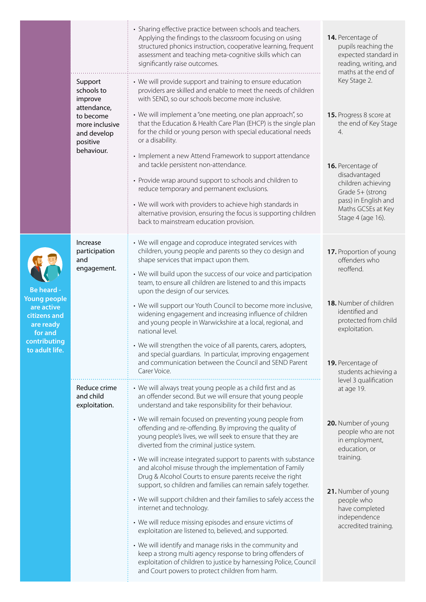|                                                                                                                           |                                                                                                                         | • Sharing effective practice between schools and teachers.<br>Applying the findings to the classroom focusing on using<br>structured phonics instruction, cooperative learning, frequent<br>assessment and teaching meta-cognitive skills which can<br>significantly raise outcomes.                              | 14. Percentage of<br>pupils reaching the<br>expected standard in<br>reading, writing, and<br>maths at the end of                                                                                                         |  |
|---------------------------------------------------------------------------------------------------------------------------|-------------------------------------------------------------------------------------------------------------------------|-------------------------------------------------------------------------------------------------------------------------------------------------------------------------------------------------------------------------------------------------------------------------------------------------------------------|--------------------------------------------------------------------------------------------------------------------------------------------------------------------------------------------------------------------------|--|
|                                                                                                                           | Support<br>schools to<br>improve<br>attendance,<br>to become<br>more inclusive<br>and develop<br>positive<br>behaviour. | • We will provide support and training to ensure education<br>providers are skilled and enable to meet the needs of children<br>with SEND, so our schools become more inclusive.<br>• We will implement a "one meeting, one plan approach", so<br>that the Education & Health Care Plan (EHCP) is the single plan | Key Stage 2.<br>15. Progress 8 score at<br>the end of Key Stage<br>4.<br>16. Percentage of<br>disadvantaged<br>children achieving<br>Grade 5+ (strong<br>pass) in English and<br>Maths GCSEs at Key<br>Stage 4 (age 16). |  |
|                                                                                                                           |                                                                                                                         | for the child or young person with special educational needs<br>or a disability.                                                                                                                                                                                                                                  |                                                                                                                                                                                                                          |  |
|                                                                                                                           |                                                                                                                         | • Implement a new Attend Framework to support attendance<br>and tackle persistent non-attendance.<br>• Provide wrap around support to schools and children to                                                                                                                                                     |                                                                                                                                                                                                                          |  |
|                                                                                                                           |                                                                                                                         | reduce temporary and permanent exclusions.<br>• We will work with providers to achieve high standards in<br>alternative provision, ensuring the focus is supporting children<br>back to mainstream education provision.                                                                                           |                                                                                                                                                                                                                          |  |
| Be heard -<br><b>Young people</b><br>are active<br>citizens and<br>are ready<br>for and<br>contributing<br>to adult life. | Increase<br>participation<br>and<br>engagement.                                                                         | • We will engage and coproduce integrated services with<br>children, young people and parents so they co design and<br>shape services that impact upon them.<br>• We will build upon the success of our voice and participation<br>team, to ensure all children are listened to and this impacts                  | 17. Proportion of young<br>offenders who<br>reoffend.                                                                                                                                                                    |  |
|                                                                                                                           |                                                                                                                         | upon the design of our services.<br>• We will support our Youth Council to become more inclusive,<br>widening engagement and increasing influence of children<br>and young people in Warwickshire at a local, regional, and<br>national level.                                                                    | 18. Number of children<br>identified and<br>protected from child<br>exploitation.                                                                                                                                        |  |
|                                                                                                                           |                                                                                                                         | • We will strengthen the voice of all parents, carers, adopters,<br>and special guardians. In particular, improving engagement<br>and communication between the Council and SEND Parent<br>Carer Voice.                                                                                                           | 19. Percentage of<br>students achieving a<br>level 3 qualification<br>at age 19.                                                                                                                                         |  |
|                                                                                                                           | Reduce crime<br>and child<br>exploitation.                                                                              | • We will always treat young people as a child first and as<br>an offender second. But we will ensure that young people<br>understand and take responsibility for their behaviour.                                                                                                                                |                                                                                                                                                                                                                          |  |
|                                                                                                                           |                                                                                                                         | • We will remain focused on preventing young people from<br>offending and re-offending. By improving the quality of<br>young people's lives, we will seek to ensure that they are<br>diverted from the criminal justice system.                                                                                   | 20. Number of young<br>people who are not<br>in employment,<br>education, or                                                                                                                                             |  |
|                                                                                                                           |                                                                                                                         | • We will increase integrated support to parents with substance<br>and alcohol misuse through the implementation of Family<br>Drug & Alcohol Courts to ensure parents receive the right<br>support, so children and families can remain safely together.                                                          | training.<br>21. Number of young<br>people who<br>have completed<br>independence<br>accredited training.                                                                                                                 |  |
|                                                                                                                           |                                                                                                                         | • We will support children and their families to safely access the<br>internet and technology.<br>• We will reduce missing episodes and ensure victims of                                                                                                                                                         |                                                                                                                                                                                                                          |  |
|                                                                                                                           |                                                                                                                         | exploitation are listened to, believed, and supported.<br>• We will identify and manage risks in the community and<br>keep a strong multi agency response to bring offenders of<br>exploitation of children to justice by harnessing Police, Council<br>and Court powers to protect children from harm.           |                                                                                                                                                                                                                          |  |